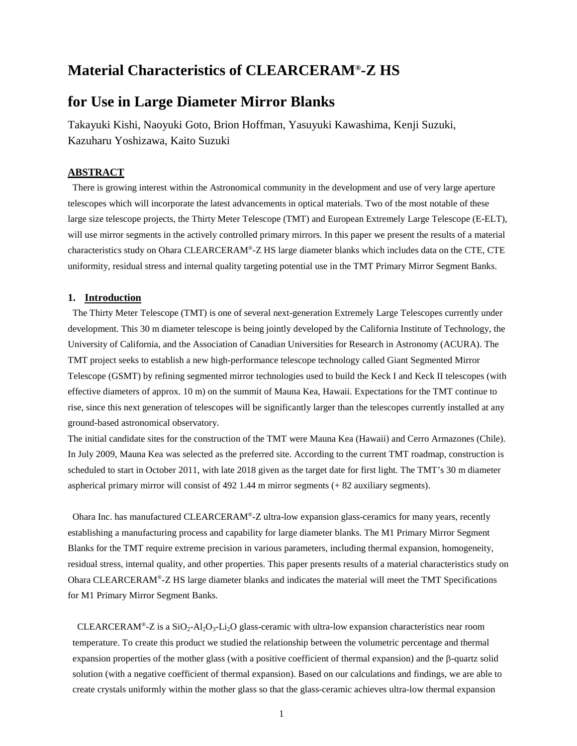# **Material Characteristics of CLEARCERAM®-Z HS**

# **for Use in Large Diameter Mirror Blanks**

Takayuki Kishi, Naoyuki Goto, Brion Hoffman, Yasuyuki Kawashima, Kenji Suzuki, Kazuharu Yoshizawa, Kaito Suzuki

# **ABSTRACT**

There is growing interest within the Astronomical community in the development and use of very large aperture telescopes which will incorporate the latest advancements in optical materials. Two of the most notable of these large size telescope projects, the Thirty Meter Telescope (TMT) and European Extremely Large Telescope (E-ELT), will use mirror segments in the actively controlled primary mirrors. In this paper we present the results of a material characteristics study on Ohara CLEARCERAM®-Z HS large diameter blanks which includes data on the CTE, CTE uniformity, residual stress and internal quality targeting potential use in the TMT Primary Mirror Segment Banks.

### **1. Introduction**

The Thirty Meter Telescope (TMT) is one of several next-generation Extremely Large Telescopes currently under development. This 30 m diameter telescope is being jointly developed by the California Institute of Technology, the University of California, and the Association of Canadian Universities for Research in Astronomy (ACURA). The TMT project seeks to establish a new high-performance telescope technology called Giant Segmented Mirror Telescope (GSMT) by refining segmented mirror technologies used to build the Keck I and Keck II telescopes (with effective diameters of approx. 10 m) on the summit of Mauna Kea, Hawaii. Expectations for the TMT continue to rise, since this next generation of telescopes will be significantly larger than the telescopes currently installed at any ground-based astronomical observatory.

The initial candidate sites for the construction of the TMT were Mauna Kea (Hawaii) and Cerro Armazones (Chile). In July 2009, Mauna Kea was selected as the preferred site. According to the current TMT roadmap, construction is scheduled to start in October 2011, with late 2018 given as the target date for first light. The TMT's 30 m diameter aspherical primary mirror will consist of 492 1.44 m mirror segments (+ 82 auxiliary segments).

Ohara Inc. has manufactured CLEARCERAM®-Z ultra-low expansion glass-ceramics for many years, recently establishing a manufacturing process and capability for large diameter blanks. The M1 Primary Mirror Segment Blanks for the TMT require extreme precision in various parameters, including thermal expansion, homogeneity, residual stress, internal quality, and other properties. This paper presents results of a material characteristics study on Ohara CLEARCERAM®-Z HS large diameter blanks and indicates the material will meet the TMT Specifications for M1 Primary Mirror Segment Banks.

CLEARCERAM®-Z is a  $SiO_2$ -Al<sub>2</sub>O<sub>3</sub>-Li<sub>2</sub>O glass-ceramic with ultra-low expansion characteristics near room temperature. To create this product we studied the relationship between the volumetric percentage and thermal expansion properties of the mother glass (with a positive coefficient of thermal expansion) and the β-quartz solid solution (with a negative coefficient of thermal expansion). Based on our calculations and findings, we are able to create crystals uniformly within the mother glass so that the glass-ceramic achieves ultra-low thermal expansion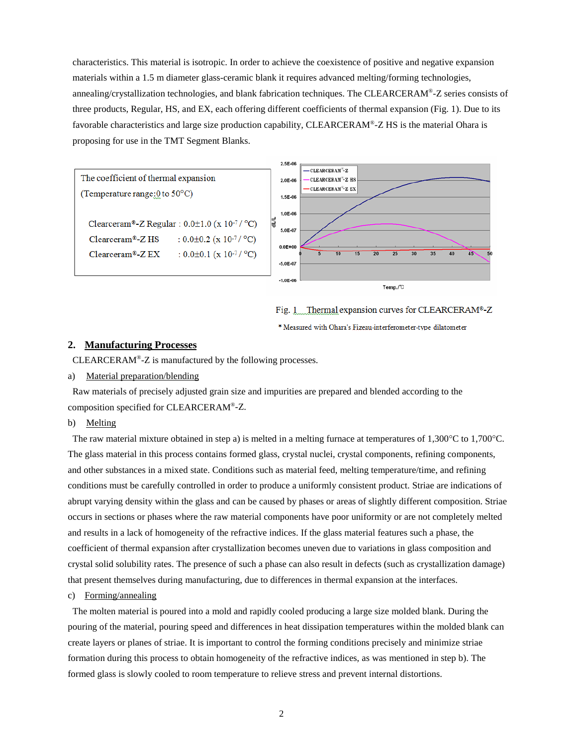characteristics. This material is isotropic. In order to achieve the coexistence of positive and negative expansion materials within a 1.5 m diameter glass-ceramic blank it requires advanced melting/forming technologies, annealing/crystallization technologies, and blank fabrication techniques. The CLEARCERAM®-Z series consists of three products, Regular, HS, and EX, each offering different coefficients of thermal expansion (Fig. 1). Due to its favorable characteristics and large size production capability, CLEARCERAM<sup>®</sup>-Z HS is the material Ohara is proposing for use in the TMT Segment Blanks.







# **2. Manufacturing Processes**

CLEARCERAM®-Z is manufactured by the following processes.

### a) Material preparation/blending

Raw materials of precisely adjusted grain size and impurities are prepared and blended according to the composition specified for CLEARCERAM®-Z.

### b) Melting

The raw material mixture obtained in step a) is melted in a melting furnace at temperatures of 1,300°C to 1,700°C. The glass material in this process contains formed glass, crystal nuclei, crystal components, refining components, and other substances in a mixed state. Conditions such as material feed, melting temperature/time, and refining conditions must be carefully controlled in order to produce a uniformly consistent product. Striae are indications of abrupt varying density within the glass and can be caused by phases or areas of slightly different composition. Striae occurs in sections or phases where the raw material components have poor uniformity or are not completely melted and results in a lack of homogeneity of the refractive indices. If the glass material features such a phase, the coefficient of thermal expansion after crystallization becomes uneven due to variations in glass composition and crystal solid solubility rates. The presence of such a phase can also result in defects (such as crystallization damage) that present themselves during manufacturing, due to differences in thermal expansion at the interfaces.

### c) Forming/annealing

The molten material is poured into a mold and rapidly cooled producing a large size molded blank. During the pouring of the material, pouring speed and differences in heat dissipation temperatures within the molded blank can create layers or planes of striae. It is important to control the forming conditions precisely and minimize striae formation during this process to obtain homogeneity of the refractive indices, as was mentioned in step b). The formed glass is slowly cooled to room temperature to relieve stress and prevent internal distortions.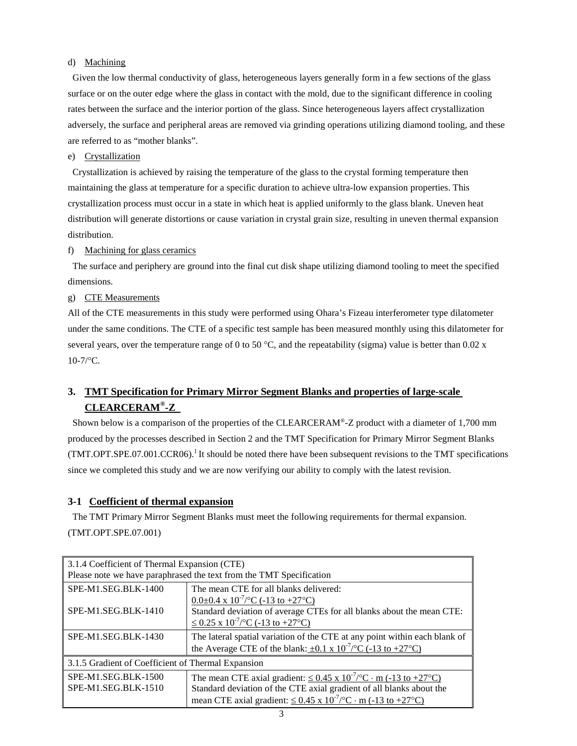# d) Machining

Given the low thermal conductivity of glass, heterogeneous layers generally form in a few sections of the glass surface or on the outer edge where the glass in contact with the mold, due to the significant difference in cooling rates between the surface and the interior portion of the glass. Since heterogeneous layers affect crystallization adversely, the surface and peripheral areas are removed via grinding operations utilizing diamond tooling, and these are referred to as "mother blanks".

## e) Crystallization

Crystallization is achieved by raising the temperature of the glass to the crystal forming temperature then maintaining the glass at temperature for a specific duration to achieve ultra-low expansion properties. This crystallization process must occur in a state in which heat is applied uniformly to the glass blank. Uneven heat distribution will generate distortions or cause variation in crystal grain size, resulting in uneven thermal expansion distribution.

### f) Machining for glass ceramics

The surface and periphery are ground into the final cut disk shape utilizing diamond tooling to meet the specified dimensions.

# g) CTE Measurements

All of the CTE measurements in this study were performed using Ohara's Fizeau interferometer type dilatometer under the same conditions. The CTE of a specific test sample has been measured monthly using this dilatometer for several years, over the temperature range of 0 to 50 °C, and the repeatability (sigma) value is better than 0.02 x  $10-7$ /°C.

# **3. TMT Specification for Primary Mirror Segment Blanks and properties of large-scale CLEARCERAM®-Z**

Shown below is a comparison of the properties of the CLEARCERAM®-Z product with a diameter of 1,700 mm produced by the processes described in Section 2 and the TMT Specification for Primary Mirror Segment Blanks  $(TMT.OPT. SPE.07.001. CCR06).$ <sup>1</sup>It should be noted there have been subsequent revisions to the TMT specifications since we completed this study and we are now verifying our ability to comply with the latest revision.

# **3-1 Coefficient of thermal expansion**

The TMT Primary Mirror Segment Blanks must meet the following requirements for thermal expansion. (TMT.OPT.SPE.07.001)

| 3.1.4 Coefficient of Thermal Expansion (CTE)                              |                                                                                |  |  |  |  |
|---------------------------------------------------------------------------|--------------------------------------------------------------------------------|--|--|--|--|
|                                                                           | Please note we have paraphrased the text from the TMT Specification            |  |  |  |  |
| SPE-M1.SEG.BLK-1400                                                       | The mean CTE for all blanks delivered:                                         |  |  |  |  |
|                                                                           | $0.0\pm0.4 \times 10^{-7}$ /°C (-13 to +27°C)                                  |  |  |  |  |
| SPE-M1.SEG.BLK-1410                                                       | Standard deviation of average CTEs for all blanks about the mean CTE:          |  |  |  |  |
|                                                                           | $\leq$ 0.25 x 10 <sup>-7</sup> /°C (-13 to +27°C)                              |  |  |  |  |
| SPE-M1.SEG.BLK-1430                                                       | The lateral spatial variation of the CTE at any point within each blank of     |  |  |  |  |
| the Average CTE of the blank: $\pm 0.1 \times 10^{-7}$ /°C (-13 to +27°C) |                                                                                |  |  |  |  |
| 3.1.5 Gradient of Coefficient of Thermal Expansion                        |                                                                                |  |  |  |  |
| SPE-M1.SEG.BLK-1500                                                       | The mean CTE axial gradient: $\leq 0.45 \times 10^{-7}$ /°C · m (-13 to +27°C) |  |  |  |  |
| SPE-M1.SEG.BLK-1510                                                       | Standard deviation of the CTE axial gradient of all blanks about the           |  |  |  |  |
|                                                                           | mean CTE axial gradient: $\leq 0.45 \times 10^{-7}$ /°C · m (-13 to +27°C)     |  |  |  |  |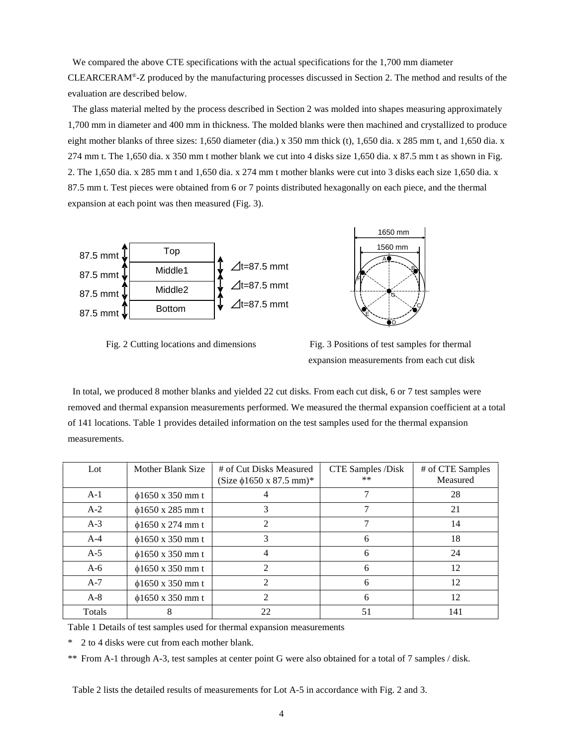We compared the above CTE specifications with the actual specifications for the 1,700 mm diameter CLEARCERAM®-Z produced by the manufacturing processes discussed in Section 2. The method and results of the evaluation are described below.

The glass material melted by the process described in Section 2 was molded into shapes measuring approximately 1,700 mm in diameter and 400 mm in thickness. The molded blanks were then machined and crystallized to produce eight mother blanks of three sizes: 1,650 diameter (dia.) x 350 mm thick (t), 1,650 dia. x 285 mm t, and 1,650 dia. x 274 mm t. The 1,650 dia. x 350 mm t mother blank we cut into 4 disks size 1,650 dia. x 87.5 mm t as shown in Fig. 2. The 1,650 dia. x 285 mm t and 1,650 dia. x 274 mm t mother blanks were cut into 3 disks each size 1,650 dia. x 87.5 mm t. Test pieces were obtained from 6 or 7 points distributed hexagonally on each piece, and the thermal expansion at each point was then measured (Fig. 3).



Fig. 2 Cutting locations and dimensions Fig. 3 Positions of test samples for thermal



1650 mm 1560 mm

B

A

F

expansion measurements from each cut disk

In total, we produced 8 mother blanks and yielded 22 cut disks. From each cut disk, 6 or 7 test samples were removed and thermal expansion measurements performed. We measured the thermal expansion coefficient at a total of 141 locations. Table 1 provides detailed information on the test samples used for the thermal expansion measurements.

| Lot    | Mother Blank Size      | # of Cut Disks Measured<br>$(Size \phi1650 \times 87.5 \text{ mm})*$ | CTE Samples /Disk<br>$***$ | # of CTE Samples<br>Measured |
|--------|------------------------|----------------------------------------------------------------------|----------------------------|------------------------------|
| $A-1$  | $\phi$ 1650 x 350 mm t |                                                                      |                            | 28                           |
| $A-2$  | $\phi$ 1650 x 285 mm t | 3                                                                    |                            | 21                           |
| $A-3$  | $\phi$ 1650 x 274 mm t | 2                                                                    |                            | 14                           |
| $A-4$  | $\phi$ 1650 x 350 mm t | 3                                                                    | 6                          | 18                           |
| $A-5$  | $\phi$ 1650 x 350 mm t |                                                                      | 6                          | 24                           |
| $A-6$  | $\phi$ 1650 x 350 mm t | $\mathcal{D}_{\mathcal{L}}$                                          | 6                          | 12                           |
| $A-7$  | $\phi$ 1650 x 350 mm t | $\mathcal{D}$                                                        | 6                          | 12                           |
| $A-8$  | $\phi$ 1650 x 350 mm t | $\mathcal{D}_{\mathcal{A}}$                                          | 6                          | 12                           |
| Totals | 8                      | 22                                                                   | 51                         | 141                          |

Table 1 Details of test samples used for thermal expansion measurements

\* 2 to 4 disks were cut from each mother blank.

\*\* From A-1 through A-3, test samples at center point G were also obtained for a total of 7 samples / disk.

Table 2 lists the detailed results of measurements for Lot A-5 in accordance with Fig. 2 and 3.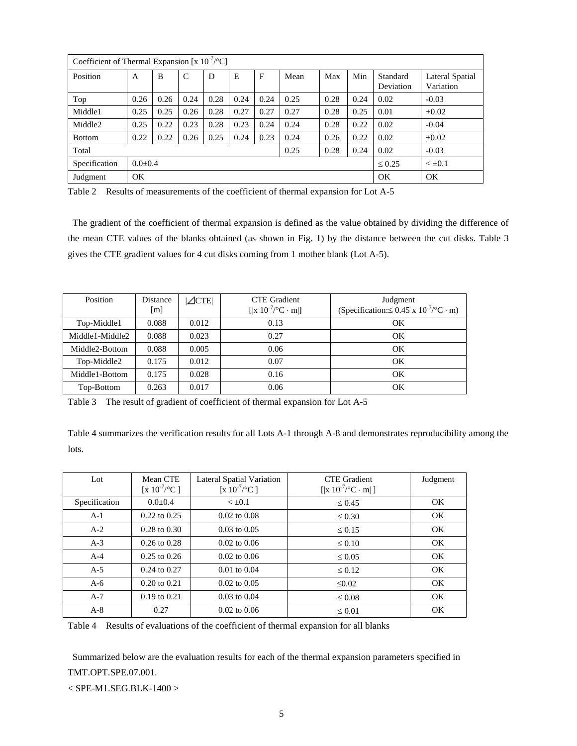| Coefficient of Thermal Expansion [x $10^{-7}$ /°C] |               |      |      |      |      |      |      |      |         |                       |                              |
|----------------------------------------------------|---------------|------|------|------|------|------|------|------|---------|-----------------------|------------------------------|
| Position                                           | A             | B    | C    | D    | E    | F    | Mean | Max  | Min     | Standard<br>Deviation | Lateral Spatial<br>Variation |
| Top                                                | 0.26          | 0.26 | 0.24 | 0.28 | 0.24 | 0.24 | 0.25 | 0.28 | 0.24    | 0.02                  | $-0.03$                      |
| Middle1                                            | 0.25          | 0.25 | 0.26 | 0.28 | 0.27 | 0.27 | 0.27 | 0.28 | 0.25    | 0.01                  | $+0.02$                      |
| Middle2                                            | 0.25          | 0.22 | 0.23 | 0.28 | 0.23 | 0.24 | 0.24 | 0.28 | 0.22    | 0.02                  | $-0.04$                      |
| <b>Bottom</b>                                      | 0.22          | 0.22 | 0.26 | 0.25 | 0.24 | 0.23 | 0.24 | 0.26 | 0.22    | 0.02                  | $\pm 0.02$                   |
| 0.25<br>0.28<br>0.24<br>Total                      |               |      |      |      |      |      |      | 0.02 | $-0.03$ |                       |                              |
| Specification                                      | $0.0 \pm 0.4$ |      |      |      |      |      |      |      |         | $\leq 0.25$           | $< \pm 0.1$                  |
| Judgment                                           | OK            |      |      |      |      |      |      |      |         |                       | OK                           |

Table 2 Results of measurements of the coefficient of thermal expansion for Lot A-5

The gradient of the coefficient of thermal expansion is defined as the value obtained by dividing the difference of the mean CTE values of the blanks obtained (as shown in Fig. 1) by the distance between the cut disks. Table 3 gives the CTE gradient values for 4 cut disks coming from 1 mother blank (Lot A-5).

| Position        | Distance<br>[m] | $\angle$ CTE | <b>CTE</b> Gradient<br>$[ x\;10^{-7}\text{/}^{\circ}\text{C}\cdot\text{m} ]$ | Judgment<br>(Specification: $\leq 0.45 \times 10^{-7}$ /°C·m) |
|-----------------|-----------------|--------------|------------------------------------------------------------------------------|---------------------------------------------------------------|
| Top-Middle1     | 0.088           | 0.012        | 0.13                                                                         | ОK                                                            |
| Middle1-Middle2 | 0.088           | 0.023        | 0.27                                                                         | OK                                                            |
| Middle2-Bottom  | 0.088           | 0.005        | 0.06                                                                         | OK                                                            |
| Top-Middle2     | 0.175           | 0.012        | 0.07                                                                         | OK                                                            |
| Middle1-Bottom  | 0.175           | 0.028        | 0.16                                                                         | OK                                                            |
| Top-Bottom      | 0.263           | 0.017        | 0.06                                                                         | OК                                                            |

Table 3 The result of gradient of coefficient of thermal expansion for Lot A-5

Table 4 summarizes the verification results for all Lots A-1 through A-8 and demonstrates reproducibility among the lots.

| Lot           | Mean CTE<br>[ $\times 10^{-7}$ /°C] | Lateral Spatial Variation<br>[x $10^{-7}$ /°C ] | <b>CTE</b> Gradient<br>[ x $10^{-7}$ /°C · m ] | Judgment |
|---------------|-------------------------------------|-------------------------------------------------|------------------------------------------------|----------|
| Specification | $0.0 \pm 0.4$                       | $< \pm 0.1$                                     | $\leq 0.45$                                    | OK.      |
| $A-1$         | $0.22$ to $0.25$                    | $0.02$ to $0.08$                                | $\leq 0.30$                                    | OK.      |
| $A-2$         | $0.28$ to $0.30$                    | $0.03$ to $0.05$                                | $\leq 0.15$                                    | OK.      |
| $A-3$         | $0.26$ to $0.28$                    | $0.02 \text{ to } 0.06$                         | $\leq 0.10$                                    | OK       |
| $A-4$         | $0.25$ to $0.26$                    | $0.02 \text{ to } 0.06$                         | $\leq 0.05$                                    | OK.      |
| $A-5$         | $0.24$ to $0.27$                    | $0.01$ to $0.04$                                | $\leq 0.12$                                    | OK.      |
| $A-6$         | $0.20 \text{ to } 0.21$             | $0.02 \text{ to } 0.05$                         | $\leq 0.02$                                    | OK       |
| $A-7$         | $0.19$ to $0.21$                    | $0.03$ to $0.04$                                | $\leq 0.08$                                    | OK.      |
| $A-8$         | 0.27                                | $0.02 \text{ to } 0.06$                         | $\leq 0.01$                                    | OK       |

Table 4 Results of evaluations of the coefficient of thermal expansion for all blanks

Summarized below are the evaluation results for each of the thermal expansion parameters specified in TMT.OPT.SPE.07.001.

< SPE-M1.SEG.BLK-1400 >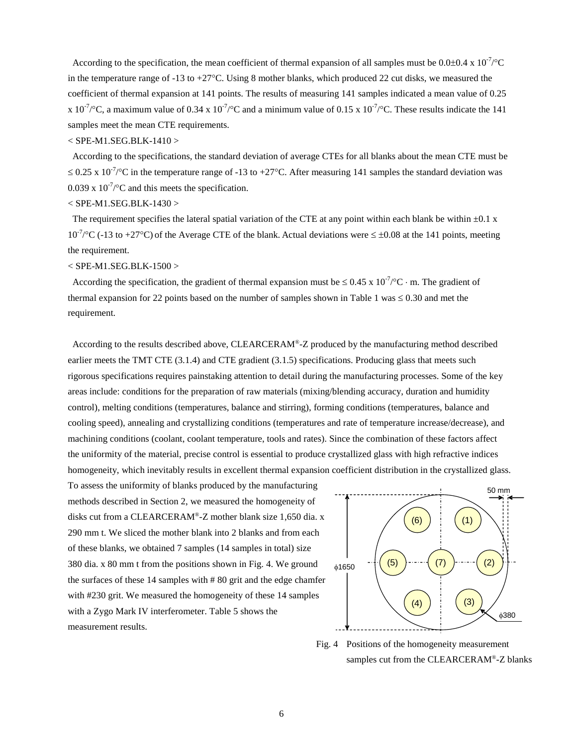According to the specification, the mean coefficient of thermal expansion of all samples must be  $0.0\pm0.4 \times 10^{-7}$  /°C in the temperature range of -13 to +27°C. Using 8 mother blanks, which produced 22 cut disks, we measured the coefficient of thermal expansion at 141 points. The results of measuring 141 samples indicated a mean value of 0.25 x 10<sup>-7</sup>/°C, a maximum value of 0.34 x 10<sup>-7</sup>/°C and a minimum value of 0.15 x 10<sup>-7</sup>/°C. These results indicate the 141 samples meet the mean CTE requirements.

### < SPE-M1.SEG.BLK-1410 >

According to the specifications, the standard deviation of average CTEs for all blanks about the mean CTE must be ≤ 0.25 x 10<sup>-7</sup>/°C in the temperature range of -13 to +27°C. After measuring 141 samples the standard deviation was 0.039 x  $10^{-7}$ /°C and this meets the specification.

< SPE-M1.SEG.BLK-1430 >

The requirement specifies the lateral spatial variation of the CTE at any point within each blank be within  $\pm 0.1 \text{ x}$  $10^{-7}$  °C (-13 to +27°C) of the Average CTE of the blank. Actual deviations were  $\leq \pm 0.08$  at the 141 points, meeting the requirement.

 $<$  SPE-M1.SEG.BLK-1500  $>$ 

According the specification, the gradient of thermal expansion must be  $\leq 0.45 \times 10^{-7}$  °C · m. The gradient of thermal expansion for 22 points based on the number of samples shown in Table 1 was  $\leq 0.30$  and met the requirement.

According to the results described above, CLEARCERAM®-Z produced by the manufacturing method described earlier meets the TMT CTE (3.1.4) and CTE gradient (3.1.5) specifications. Producing glass that meets such rigorous specifications requires painstaking attention to detail during the manufacturing processes. Some of the key areas include: conditions for the preparation of raw materials (mixing/blending accuracy, duration and humidity control), melting conditions (temperatures, balance and stirring), forming conditions (temperatures, balance and cooling speed), annealing and crystallizing conditions (temperatures and rate of temperature increase/decrease), and machining conditions (coolant, coolant temperature, tools and rates). Since the combination of these factors affect the uniformity of the material, precise control is essential to produce crystallized glass with high refractive indices homogeneity, which inevitably results in excellent thermal expansion coefficient distribution in the crystallized glass.

To assess the uniformity of blanks produced by the manufacturing methods described in Section 2, we measured the homogeneity of disks cut from a CLEARCERAM®-Z mother blank size 1,650 dia. x 290 mm t. We sliced the mother blank into 2 blanks and from each of these blanks, we obtained 7 samples (14 samples in total) size 380 dia. x 80 mm t from the positions shown in Fig. 4. We ground the surfaces of these 14 samples with # 80 grit and the edge chamfer with #230 grit. We measured the homogeneity of these 14 samples with a Zygo Mark IV interferometer. Table 5 shows the measurement results.



Fig. 4 Positions of the homogeneity measurement samples cut from the CLEARCERAM®-Z blanks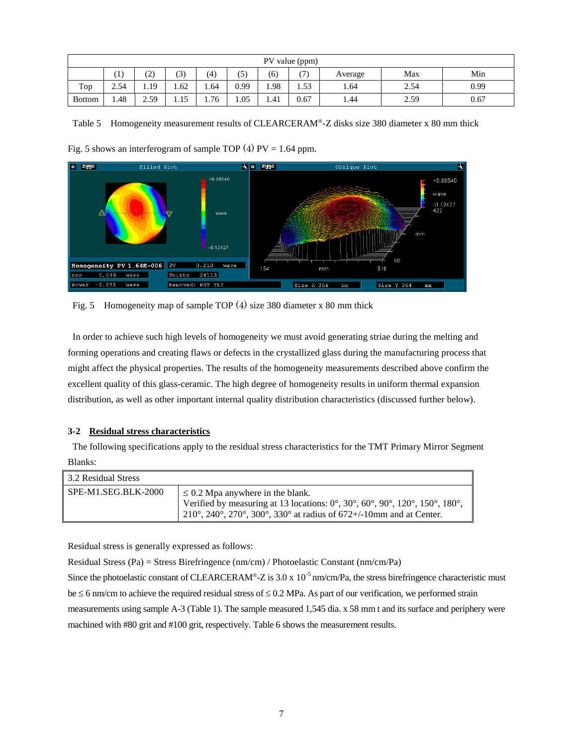|               | PV value (ppm)                                                                                                          |      |      |       |      |      |      |      |      |      |
|---------------|-------------------------------------------------------------------------------------------------------------------------|------|------|-------|------|------|------|------|------|------|
|               | $\left(4\right)$<br>(3)<br>(7)<br>Min<br>$\left\lbrack 1\right\rbrack$<br>(5)<br>(6)<br>$\sim$<br>Max<br>Average<br>, ک |      |      |       |      |      |      |      |      |      |
| Top           | 2.54                                                                                                                    | 1.19 | 1.62 | 1.64  | 0.99 | ۔ 98 | 1.53 | 1.64 | 2.54 | 0.99 |
| <b>Bottom</b> | 1.48                                                                                                                    | 2.59 | 1.15 | ـ 76. | 1.05 | 1.41 | 0.67 | 1.44 | 2.59 | 0.67 |

Table 5 Homogeneity measurement results of CLEARCERAM®-Z disks size 380 diameter x 80 mm thick





Fig. 5 Homogeneity map of sample TOP (4) size 380 diameter x 80 mm thick

In order to achieve such high levels of homogeneity we must avoid generating striae during the melting and forming operations and creating flaws or defects in the crystallized glass during the manufacturing process that might affect the physical properties. The results of the homogeneity measurements described above confirm the excellent quality of this glass-ceramic. The high degree of homogeneity results in uniform thermal expansion distribution, as well as other important internal quality distribution characteristics (discussed further below).

# **3-2 Residual stress characteristics**

The following specifications apply to the residual stress characteristics for the TMT Primary Mirror Segment Blanks:

| 3.2 Residual Stress |                                                                                                                                                                                                                                                                                                      |
|---------------------|------------------------------------------------------------------------------------------------------------------------------------------------------------------------------------------------------------------------------------------------------------------------------------------------------|
| SPE-M1.SEG.BLK-2000 | $\leq$ 0.2 Mpa anywhere in the blank.<br>Verified by measuring at 13 locations: $0^\circ$ , $30^\circ$ , $60^\circ$ , $90^\circ$ , $120^\circ$ , $150^\circ$ , $180^\circ$ ,<br>$210^{\circ}$ , $240^{\circ}$ , $270^{\circ}$ , $300^{\circ}$ , $330^{\circ}$ at radius of 672+/-10mm and at Center. |

Residual stress is generally expressed as follows:

Residual Stress (Pa) = Stress Birefringence (nm/cm) / Photoelastic Constant (nm/cm/Pa) Since the photoelastic constant of CLEARCERAM®-Z is 3.0 x  $10^{-5}$  nm/cm/Pa, the stress birefringence characteristic must be ≤ 6 nm/cm to achieve the required residual stress of ≤ 0.2 MPa. As part of our verification, we performed strain measurements using sample A-3 (Table 1). The sample measured 1,545 dia. x 58 mm t and its surface and periphery were machined with #80 grit and #100 grit, respectively. Table 6 shows the measurement results.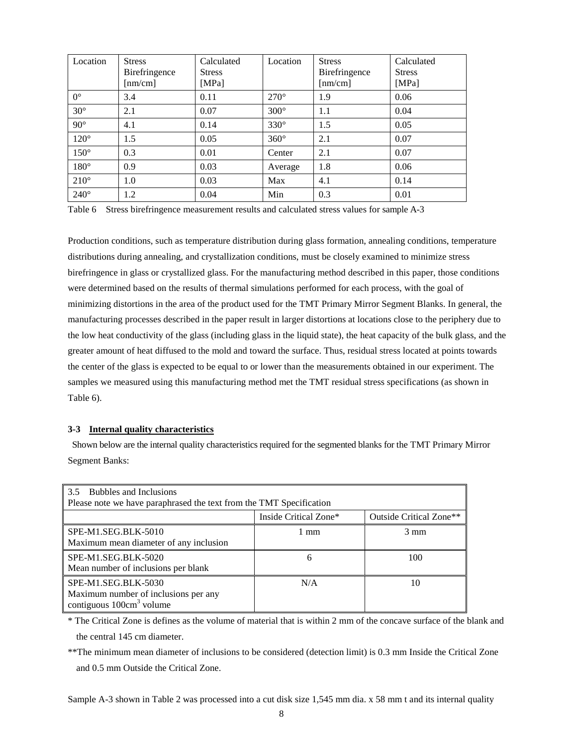| Location    | <b>Stress</b><br>Birefringence<br>[nm/cm] | Calculated<br><b>Stress</b><br>[MPa] | Location    | <b>Stress</b><br><b>Birefringence</b><br>[nm/cm] | Calculated<br><b>Stress</b><br>[MPa] |
|-------------|-------------------------------------------|--------------------------------------|-------------|--------------------------------------------------|--------------------------------------|
| $0^{\circ}$ | 3.4                                       | 0.11                                 | $270^\circ$ | 1.9                                              | 0.06                                 |
| $30^\circ$  | 2.1                                       | 0.07                                 | $300^\circ$ | 1.1                                              | 0.04                                 |
| $90^\circ$  | 4.1                                       | 0.14                                 | $330^\circ$ | 1.5                                              | 0.05                                 |
| $120^\circ$ | 1.5                                       | 0.05                                 | $360^\circ$ | 2.1                                              | 0.07                                 |
| $150^\circ$ | 0.3                                       | 0.01                                 | Center      | 2.1                                              | 0.07                                 |
| $180^\circ$ | 0.9                                       | 0.03                                 | Average     | 1.8                                              | 0.06                                 |
| $210^\circ$ | 1.0                                       | 0.03                                 | Max         | 4.1                                              | 0.14                                 |
| $240^\circ$ | 1.2                                       | 0.04                                 | Min         | 0.3                                              | 0.01                                 |

Table 6 Stress birefringence measurement results and calculated stress values for sample A-3

Production conditions, such as temperature distribution during glass formation, annealing conditions, temperature distributions during annealing, and crystallization conditions, must be closely examined to minimize stress birefringence in glass or crystallized glass. For the manufacturing method described in this paper, those conditions were determined based on the results of thermal simulations performed for each process, with the goal of minimizing distortions in the area of the product used for the TMT Primary Mirror Segment Blanks. In general, the manufacturing processes described in the paper result in larger distortions at locations close to the periphery due to the low heat conductivity of the glass (including glass in the liquid state), the heat capacity of the bulk glass, and the greater amount of heat diffused to the mold and toward the surface. Thus, residual stress located at points towards the center of the glass is expected to be equal to or lower than the measurements obtained in our experiment. The samples we measured using this manufacturing method met the TMT residual stress specifications (as shown in Table 6).

# **3-3 Internal quality characteristics**

Shown below are the internal quality characteristics required for the segmented blanks for the TMT Primary Mirror Segment Banks:

| <b>Bubbles and Inclusions</b><br>3.5<br>Please note we have paraphrased the text from the TMT Specification |                       |                                     |  |  |  |  |
|-------------------------------------------------------------------------------------------------------------|-----------------------|-------------------------------------|--|--|--|--|
|                                                                                                             | Inside Critical Zone* | Outside Critical Zone <sup>**</sup> |  |  |  |  |
| SPE-M1.SEG.BLK-5010<br>Maximum mean diameter of any inclusion                                               | 1 mm                  | $3 \text{ mm}$                      |  |  |  |  |
| SPE-M1.SEG.BLK-5020<br>Mean number of inclusions per blank                                                  | 6                     | 100                                 |  |  |  |  |
| SPE-M1.SEG.BLK-5030<br>Maximum number of inclusions per any<br>contiguous $100 \text{cm}^3$ volume          | N/A                   | 10                                  |  |  |  |  |

\* The Critical Zone is defines as the volume of material that is within 2 mm of the concave surface of the blank and the central 145 cm diameter.

\*\*The minimum mean diameter of inclusions to be considered (detection limit) is 0.3 mm Inside the Critical Zone and 0.5 mm Outside the Critical Zone.

Sample A-3 shown in Table 2 was processed into a cut disk size 1,545 mm dia. x 58 mm t and its internal quality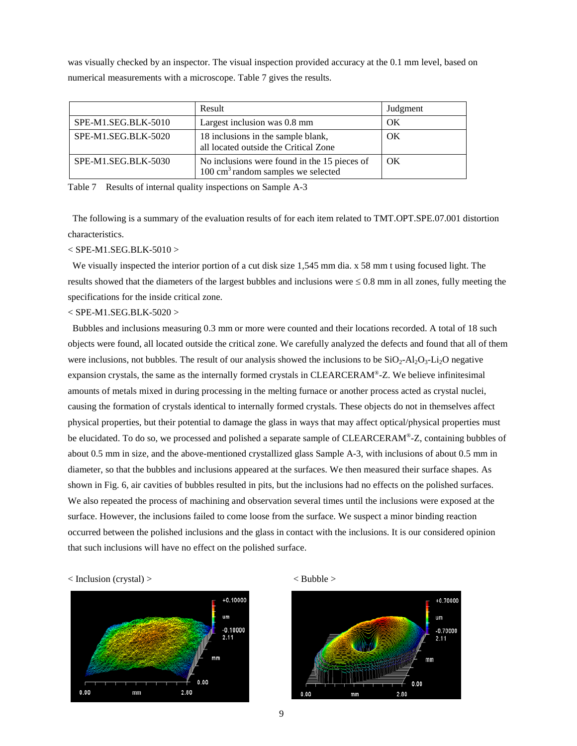was visually checked by an inspector. The visual inspection provided accuracy at the 0.1 mm level, based on numerical measurements with a microscope. Table 7 gives the results.

|                     | Result                                                                                        | Judgment |
|---------------------|-----------------------------------------------------------------------------------------------|----------|
| SPE-M1.SEG.BLK-5010 | Largest inclusion was 0.8 mm                                                                  | ΟK       |
| SPE-M1.SEG.BLK-5020 | 18 inclusions in the sample blank,<br>all located outside the Critical Zone                   | OK       |
| SPE-M1.SEG.BLK-5030 | No inclusions were found in the 15 pieces of<br>$100 \text{ cm}^3$ random samples we selected | OK       |

Table 7 Results of internal quality inspections on Sample A-3

The following is a summary of the evaluation results of for each item related to TMT.OPT.SPE.07.001 distortion characteristics.

# < SPE-M1.SEG.BLK-5010 >

We visually inspected the interior portion of a cut disk size 1,545 mm dia. x 58 mm t using focused light. The results showed that the diameters of the largest bubbles and inclusions were  $\leq 0.8$  mm in all zones, fully meeting the specifications for the inside critical zone.

### < SPE-M1.SEG.BLK-5020 >

Bubbles and inclusions measuring 0.3 mm or more were counted and their locations recorded. A total of 18 such objects were found, all located outside the critical zone. We carefully analyzed the defects and found that all of them were inclusions, not bubbles. The result of our analysis showed the inclusions to be  $SiO_2$ - $Al_2O_3$ -Li<sub>2</sub>O negative expansion crystals, the same as the internally formed crystals in CLEARCERAM®-Z. We believe infinitesimal amounts of metals mixed in during processing in the melting furnace or another process acted as crystal nuclei, causing the formation of crystals identical to internally formed crystals. These objects do not in themselves affect physical properties, but their potential to damage the glass in ways that may affect optical/physical properties must be elucidated. To do so, we processed and polished a separate sample of CLEARCERAM®-Z, containing bubbles of about 0.5 mm in size, and the above-mentioned crystallized glass Sample A-3, with inclusions of about 0.5 mm in diameter, so that the bubbles and inclusions appeared at the surfaces. We then measured their surface shapes. As shown in Fig. 6, air cavities of bubbles resulted in pits, but the inclusions had no effects on the polished surfaces. We also repeated the process of machining and observation several times until the inclusions were exposed at the surface. However, the inclusions failed to come loose from the surface. We suspect a minor binding reaction occurred between the polished inclusions and the glass in contact with the inclusions. It is our considered opinion that such inclusions will have no effect on the polished surface.